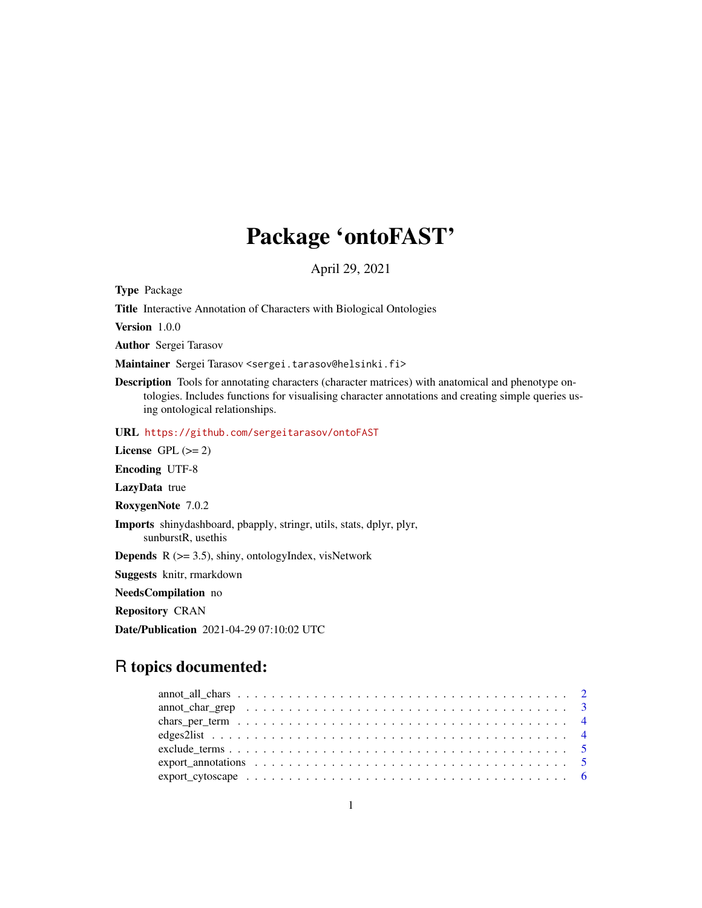## Package 'ontoFAST'

April 29, 2021

Type Package

Title Interactive Annotation of Characters with Biological Ontologies

Version 1.0.0

Author Sergei Tarasov

Maintainer Sergei Tarasov <sergei.tarasov@helsinki.fi>

Description Tools for annotating characters (character matrices) with anatomical and phenotype ontologies. Includes functions for visualising character annotations and creating simple queries using ontological relationships.

URL <https://github.com/sergeitarasov/ontoFAST>

License GPL  $(>= 2)$ 

Encoding UTF-8

LazyData true

RoxygenNote 7.0.2

Imports shinydashboard, pbapply, stringr, utils, stats, dplyr, plyr, sunburstR, usethis

**Depends**  $R$  ( $>= 3.5$ ), shiny, ontologyIndex, visNetwork

Suggests knitr, rmarkdown

NeedsCompilation no

Repository CRAN

Date/Publication 2021-04-29 07:10:02 UTC

## R topics documented:

| $\text{export\_cytoscape} \dots \dots \dots \dots \dots \dots \dots \dots \dots \dots \dots \dots \dots \dots \dots \dots \dots$ |  |
|----------------------------------------------------------------------------------------------------------------------------------|--|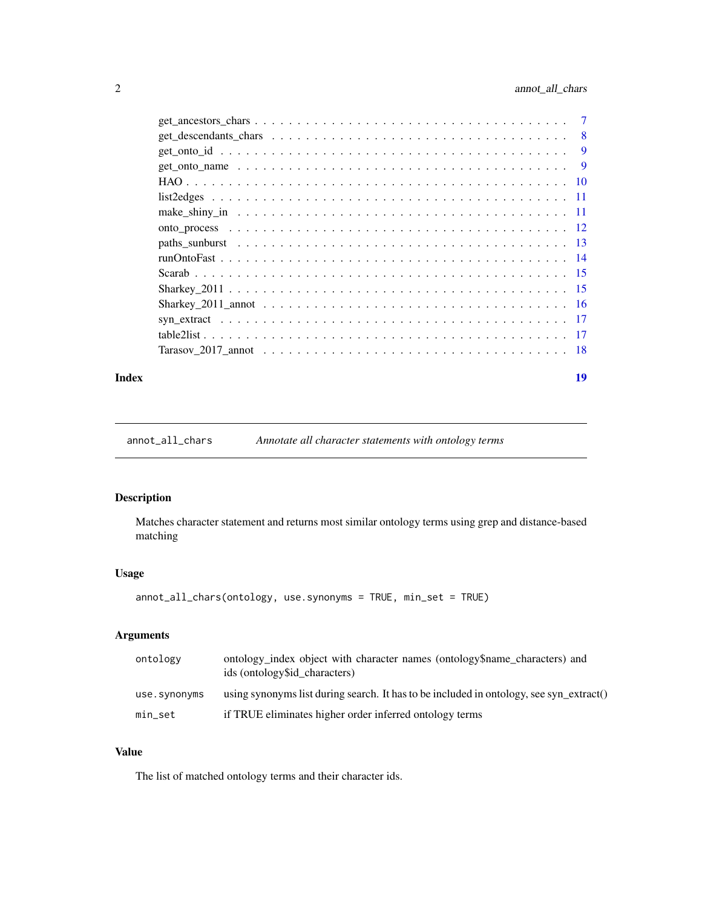<span id="page-1-0"></span>

| $get\_ancestors\_chars \dots \dots \dots \dots \dots \dots \dots \dots \dots \dots \dots \dots \dots \dots \dots$ |                |
|-------------------------------------------------------------------------------------------------------------------|----------------|
|                                                                                                                   | -8             |
|                                                                                                                   | 9              |
|                                                                                                                   | $\overline{9}$ |
|                                                                                                                   |                |
|                                                                                                                   |                |
|                                                                                                                   |                |
|                                                                                                                   |                |
|                                                                                                                   |                |
|                                                                                                                   |                |
|                                                                                                                   |                |
|                                                                                                                   |                |
|                                                                                                                   |                |
|                                                                                                                   |                |
|                                                                                                                   |                |
|                                                                                                                   |                |
|                                                                                                                   |                |

#### **Index** 2008 **[19](#page-18-0)99**

annot\_all\_chars *Annotate all character statements with ontology terms*

## Description

Matches character statement and returns most similar ontology terms using grep and distance-based matching

## Usage

```
annot_all_chars(ontology, use.synonyms = TRUE, min_set = TRUE)
```
## Arguments

| ontology     | ontology index object with character names (ontology \$name characters) and<br>ids (ontology\$id_characters) |
|--------------|--------------------------------------------------------------------------------------------------------------|
| use.synonyms | using synonyms list during search. It has to be included in ontology, see syn $extract()$                    |
| min_set      | if TRUE eliminates higher order inferred ontology terms                                                      |

## Value

The list of matched ontology terms and their character ids.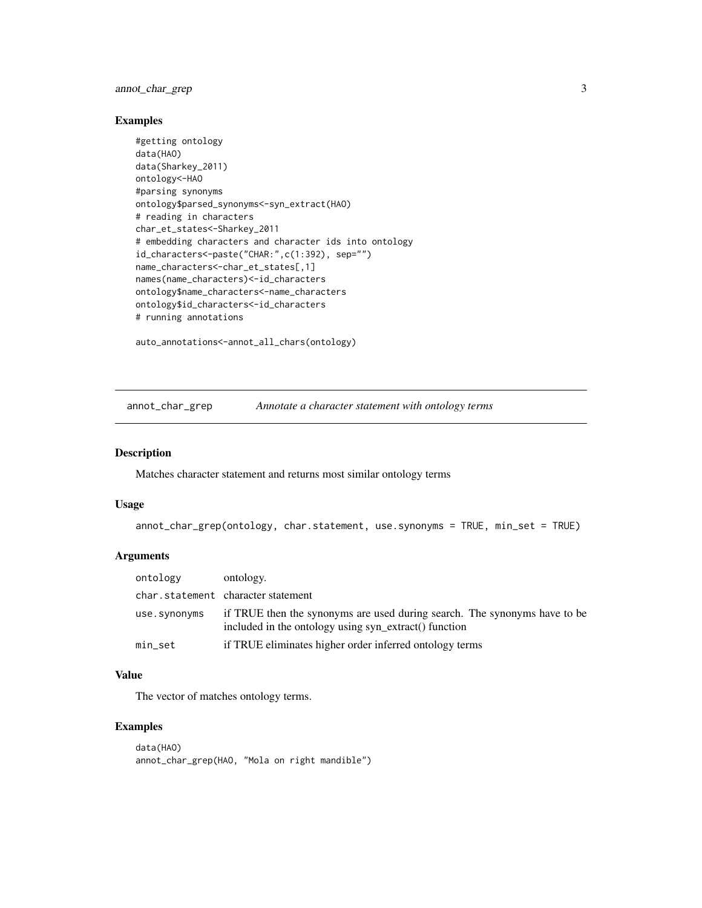## <span id="page-2-0"></span>annot\_char\_grep 3

## Examples

```
#getting ontology
data(HAO)
data(Sharkey_2011)
ontology<-HAO
#parsing synonyms
ontology$parsed_synonyms<-syn_extract(HAO)
# reading in characters
char_et_states<-Sharkey_2011
# embedding characters and character ids into ontology
id_characters<-paste("CHAR:",c(1:392), sep="")
name_characters<-char_et_states[,1]
names(name_characters)<-id_characters
ontology$name_characters<-name_characters
ontology$id_characters<-id_characters
# running annotations
```
auto\_annotations<-annot\_all\_chars(ontology)

annot\_char\_grep *Annotate a character statement with ontology terms*

#### Description

Matches character statement and returns most similar ontology terms

#### Usage

```
annot_char_grep(ontology, char.statement, use.synonyms = TRUE, min_set = TRUE)
```
#### Arguments

| ontology     | ontology.                                                                                                                          |
|--------------|------------------------------------------------------------------------------------------------------------------------------------|
|              | char.statement character statement                                                                                                 |
| use.synonyms | if TRUE then the synonyms are used during search. The synonyms have to be<br>included in the ontology using syn_extract() function |
| min_set      | if TRUE eliminates higher order inferred ontology terms                                                                            |

## Value

The vector of matches ontology terms.

```
data(HAO)
annot_char_grep(HAO, "Mola on right mandible")
```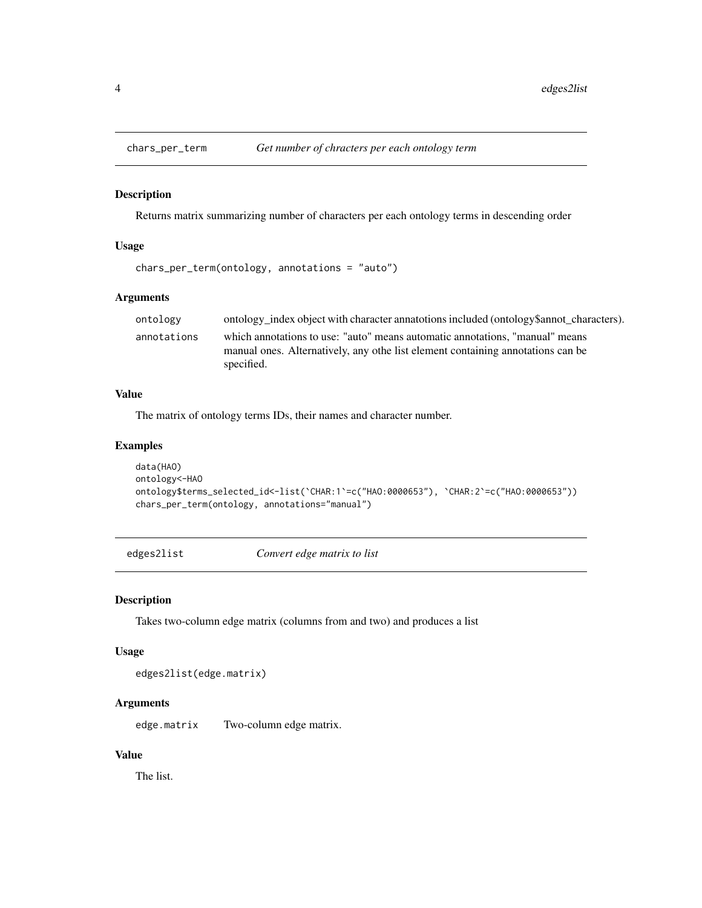<span id="page-3-0"></span>

Returns matrix summarizing number of characters per each ontology terms in descending order

## Usage

chars\_per\_term(ontology, annotations = "auto")

## Arguments

| ontology    | ontology index object with character annatotions included (ontology \$ annot characters).                                                                                     |
|-------------|-------------------------------------------------------------------------------------------------------------------------------------------------------------------------------|
| annotations | which annotations to use: "auto" means automatic annotations. "manual" means<br>manual ones. Alternatively, any othe list element containing annotations can be<br>specified. |
|             |                                                                                                                                                                               |

## Value

The matrix of ontology terms IDs, their names and character number.

## Examples

```
data(HAO)
ontology<-HAO
ontology$terms_selected_id<-list(`CHAR:1`=c("HAO:0000653"), `CHAR:2`=c("HAO:0000653"))
chars_per_term(ontology, annotations="manual")
```
edges2list *Convert edge matrix to list*

#### Description

Takes two-column edge matrix (columns from and two) and produces a list

#### Usage

edges2list(edge.matrix)

## Arguments

edge.matrix Two-column edge matrix.

## Value

The list.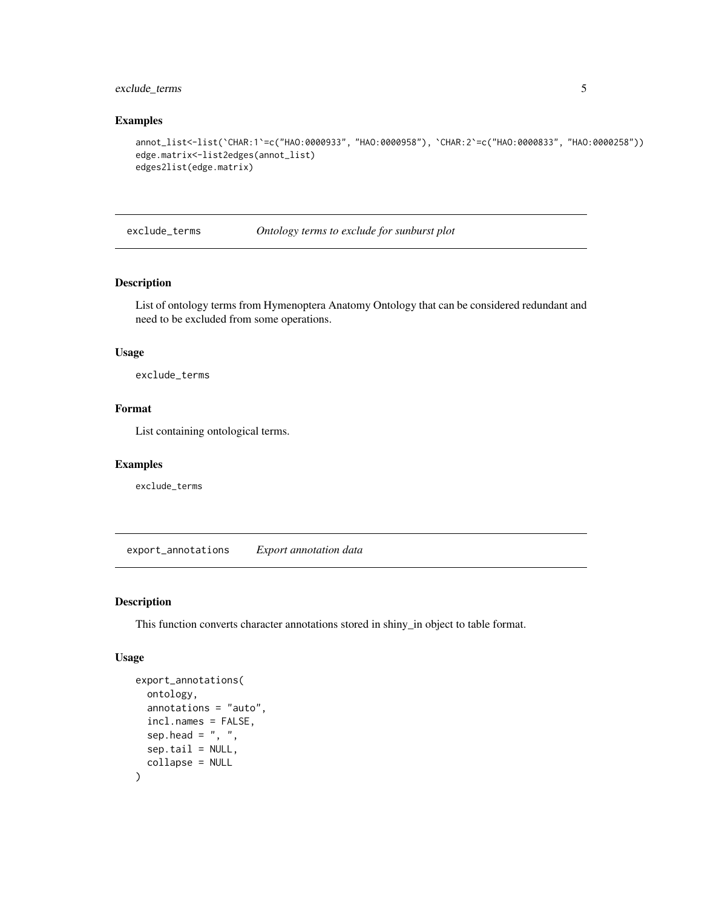## <span id="page-4-0"></span>exclude\_terms 5

#### Examples

```
annot_list<-list(`CHAR:1`=c("HAO:0000933", "HAO:0000958"), `CHAR:2`=c("HAO:0000833", "HAO:0000258"))
edge.matrix<-list2edges(annot_list)
edges2list(edge.matrix)
```
exclude\_terms *Ontology terms to exclude for sunburst plot*

## Description

List of ontology terms from Hymenoptera Anatomy Ontology that can be considered redundant and need to be excluded from some operations.

## Usage

exclude\_terms

#### Format

List containing ontological terms.

#### Examples

exclude\_terms

export\_annotations *Export annotation data*

#### Description

This function converts character annotations stored in shiny\_in object to table format.

## Usage

```
export_annotations(
 ontology,
  annotations = "auto",
  incl.names = FALSE,
  sep.head = ", "sep.tail = NULL,
  collapse = NULL
)
```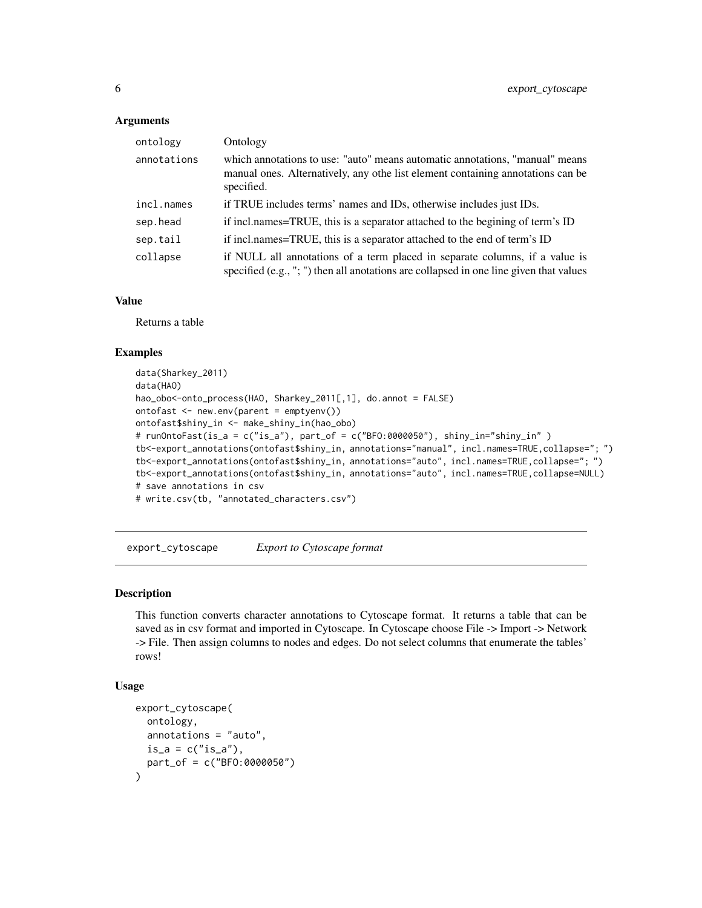#### <span id="page-5-0"></span>**Arguments**

| ontology    | Ontology                                                                                                                                                                      |
|-------------|-------------------------------------------------------------------------------------------------------------------------------------------------------------------------------|
| annotations | which annotations to use: "auto" means automatic annotations, "manual" means<br>manual ones. Alternatively, any othe list element containing annotations can be<br>specified. |
| incl.names  | if TRUE includes terms' names and IDs, otherwise includes just IDs.                                                                                                           |
| sep.head    | if incl.names=TRUE, this is a separator attached to the begining of term's ID                                                                                                 |
| sep.tail    | if incl.names=TRUE, this is a separator attached to the end of term's ID                                                                                                      |
| collapse    | if NULL all annotations of a term placed in separate columns, if a value is<br>specified (e.g., "; ") then all anotations are collapsed in one line given that values         |

## Value

Returns a table

## Examples

```
data(Sharkey_2011)
data(HAO)
hao_obo<-onto_process(HAO, Sharkey_2011[,1], do.annot = FALSE)
ontofast <- new.env(parent = emptyenv())
ontofast$shiny_in <- make_shiny_in(hao_obo)
# runOntoFast(is_a = c("is_a"), part_of = c("BFO:0000050"), shiny_in="shiny_in" )
tb<-export_annotations(ontofast$shiny_in, annotations="manual", incl.names=TRUE,collapse="; ")
tb<-export_annotations(ontofast$shiny_in, annotations="auto", incl.names=TRUE,collapse="; ")
tb<-export_annotations(ontofast$shiny_in, annotations="auto", incl.names=TRUE,collapse=NULL)
# save annotations in csv
# write.csv(tb, "annotated_characters.csv")
```
export\_cytoscape *Export to Cytoscape format*

## Description

This function converts character annotations to Cytoscape format. It returns a table that can be saved as in csv format and imported in Cytoscape. In Cytoscape choose File -> Import -> Network -> File. Then assign columns to nodes and edges. Do not select columns that enumerate the tables' rows!

### Usage

```
export_cytoscape(
 ontology,
  annotations = "auto",
 is_a = c("is_a"),part_of = c("BFO:0000050")
)
```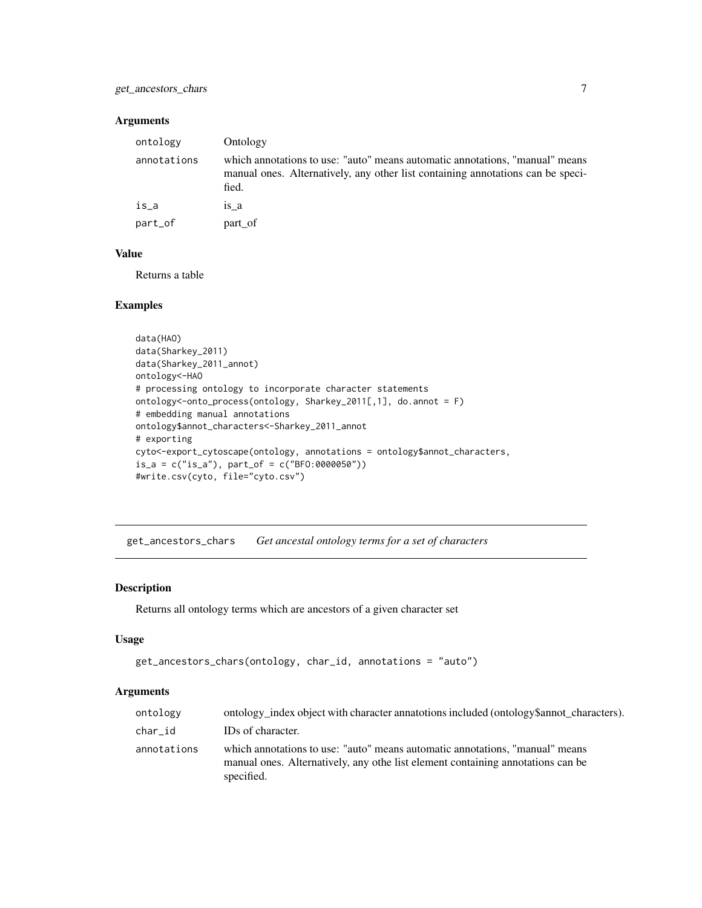## <span id="page-6-0"></span>Arguments

| ontology    | Ontology                                                                                                                                                                 |
|-------------|--------------------------------------------------------------------------------------------------------------------------------------------------------------------------|
| annotations | which annotations to use: "auto" means automatic annotations, "manual" means<br>manual ones. Alternatively, any other list containing annotations can be speci-<br>fied. |
| is a        | is a                                                                                                                                                                     |
| part_of     | part of                                                                                                                                                                  |

## Value

Returns a table

#### Examples

```
data(HAO)
data(Sharkey_2011)
data(Sharkey_2011_annot)
ontology<-HAO
# processing ontology to incorporate character statements
ontology<-onto_process(ontology, Sharkey_2011[,1], do.annot = F)
# embedding manual annotations
ontology$annot_characters<-Sharkey_2011_annot
# exporting
cyto<-export_cytoscape(ontology, annotations = ontology$annot_characters,
is_a = c("is_a"), part_of = c("BFO:0000050"))#write.csv(cyto, file="cyto.csv")
```
get\_ancestors\_chars *Get ancestal ontology terms for a set of characters*

## Description

Returns all ontology terms which are ancestors of a given character set

## Usage

```
get_ancestors_chars(ontology, char_id, annotations = "auto")
```
## Arguments

| ontology    | ontology index object with character annatotions included (ontology \$ annot characters).                                                                                     |
|-------------|-------------------------------------------------------------------------------------------------------------------------------------------------------------------------------|
| char_id     | IDs of character.                                                                                                                                                             |
| annotations | which annotations to use: "auto" means automatic annotations, "manual" means<br>manual ones. Alternatively, any othe list element containing annotations can be<br>specified. |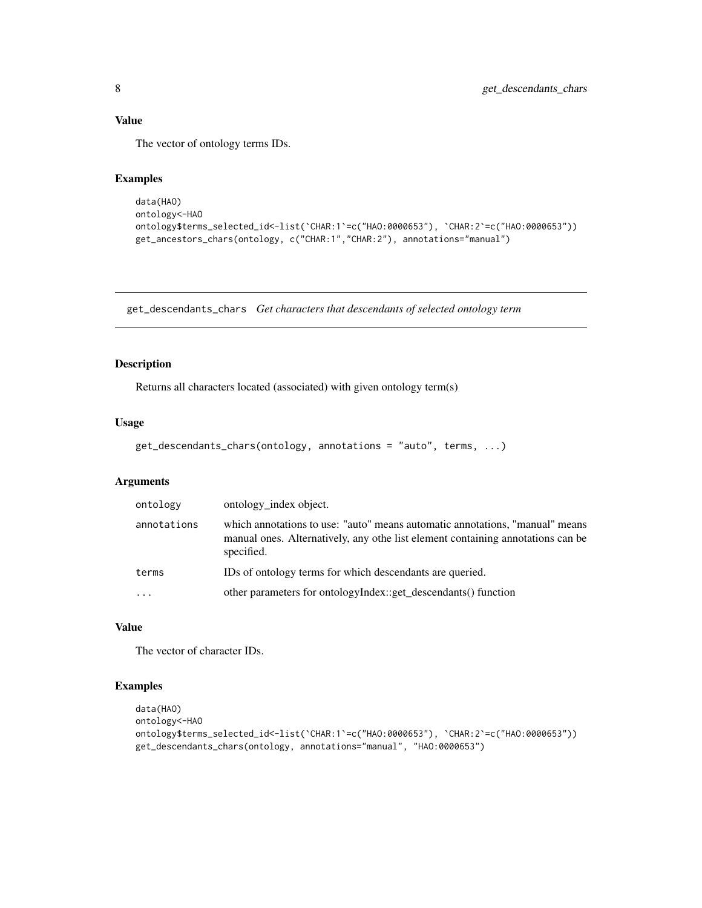<span id="page-7-0"></span>The vector of ontology terms IDs.

## Examples

```
data(HAO)
ontology<-HAO
ontology$terms_selected_id<-list(`CHAR:1`=c("HAO:0000653"), `CHAR:2`=c("HAO:0000653"))
get_ancestors_chars(ontology, c("CHAR:1","CHAR:2"), annotations="manual")
```
get\_descendants\_chars *Get characters that descendants of selected ontology term*

## Description

Returns all characters located (associated) with given ontology term(s)

## Usage

```
get_descendants_chars(ontology, annotations = "auto", terms, ...)
```
## Arguments

| ontology    | ontology_index object.                                                                                                                                                        |
|-------------|-------------------------------------------------------------------------------------------------------------------------------------------------------------------------------|
| annotations | which annotations to use: "auto" means automatic annotations, "manual" means<br>manual ones. Alternatively, any othe list element containing annotations can be<br>specified. |
| terms       | IDs of ontology terms for which descendants are queried.                                                                                                                      |
|             | other parameters for ontologyIndex::get_descendants() function                                                                                                                |

#### Value

The vector of character IDs.

```
data(HAO)
ontology<-HAO
ontology$terms_selected_id<-list(`CHAR:1`=c("HAO:0000653"), `CHAR:2`=c("HAO:0000653"))
get_descendants_chars(ontology, annotations="manual", "HAO:0000653")
```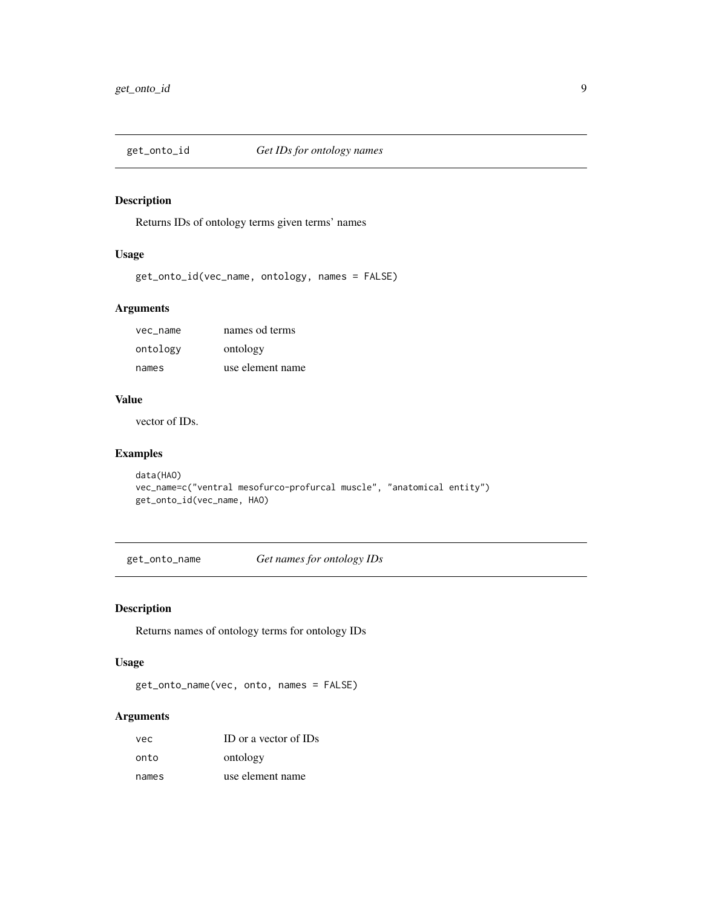<span id="page-8-0"></span>

Returns IDs of ontology terms given terms' names

#### Usage

```
get_onto_id(vec_name, ontology, names = FALSE)
```
## Arguments

| vec name | names od terms   |
|----------|------------------|
| ontology | ontology         |
| names    | use element name |

#### Value

vector of IDs.

## Examples

```
data(HAO)
vec_name=c("ventral mesofurco-profurcal muscle", "anatomical entity")
get_onto_id(vec_name, HAO)
```
get\_onto\_name *Get names for ontology IDs*

## Description

Returns names of ontology terms for ontology IDs

## Usage

get\_onto\_name(vec, onto, names = FALSE)

## Arguments

| vec   | ID or a vector of IDs |
|-------|-----------------------|
| onto  | ontology              |
| names | use element name      |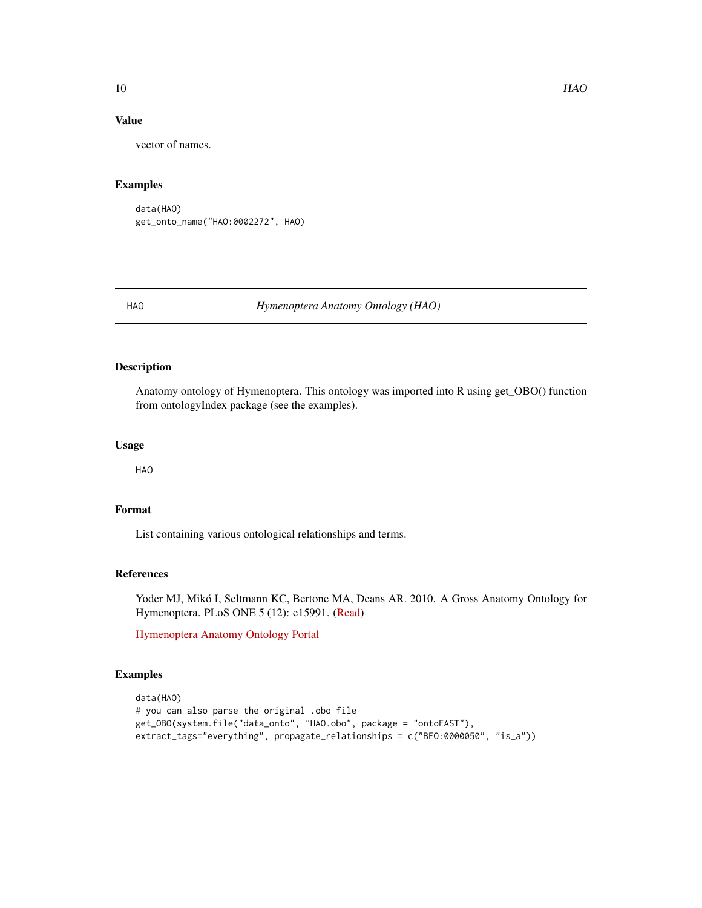vector of names.

#### Examples

```
data(HAO)
get_onto_name("HAO:0002272", HAO)
```
HAO *Hymenoptera Anatomy Ontology (HAO)*

## Description

Anatomy ontology of Hymenoptera. This ontology was imported into R using get\_OBO() function from ontologyIndex package (see the examples).

#### Usage

HAO

## Format

List containing various ontological relationships and terms.

## References

Yoder MJ, Mikó I, Seltmann KC, Bertone MA, Deans AR. 2010. A Gross Anatomy Ontology for Hymenoptera. PLoS ONE 5 (12): e15991. [\(Read\)](https://journals.plos.org/plosone/article?id=10.1371/journal.pone.0015991)

[Hymenoptera Anatomy Ontology Portal](http://portal.hymao.org/projects/32/public/ontology/)

```
data(HAO)
# you can also parse the original .obo file
get_OBO(system.file("data_onto", "HAO.obo", package = "ontoFAST"),
extract_tags="everything", propagate_relationships = c("BFO:0000050", "is_a"))
```
<span id="page-9-0"></span>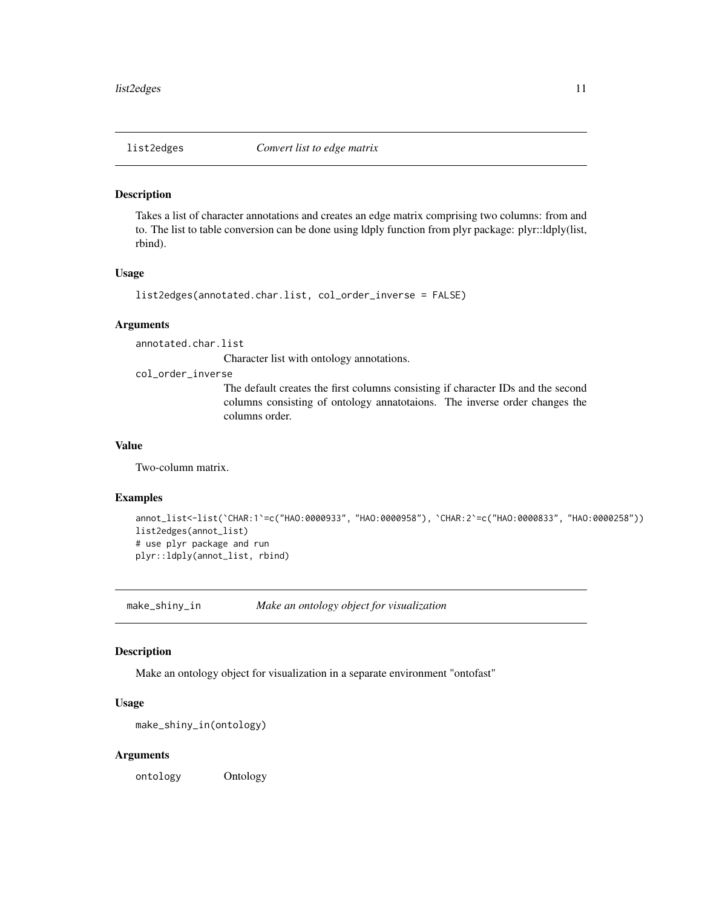<span id="page-10-0"></span>

Takes a list of character annotations and creates an edge matrix comprising two columns: from and to. The list to table conversion can be done using ldply function from plyr package: plyr::ldply(list, rbind).

#### Usage

```
list2edges(annotated.char.list, col_order_inverse = FALSE)
```
#### **Arguments**

annotated.char.list

Character list with ontology annotations.

#### col\_order\_inverse

The default creates the first columns consisting if character IDs and the second columns consisting of ontology annatotaions. The inverse order changes the columns order.

#### Value

Two-column matrix.

#### Examples

```
annot_list<-list(`CHAR:1`=c("HAO:0000933", "HAO:0000958"), `CHAR:2`=c("HAO:0000833", "HAO:0000258"))
list2edges(annot_list)
# use plyr package and run
plyr::ldply(annot_list, rbind)
```
make\_shiny\_in *Make an ontology object for visualization*

#### Description

Make an ontology object for visualization in a separate environment "ontofast"

#### Usage

```
make_shiny_in(ontology)
```
#### Arguments

ontology Ontology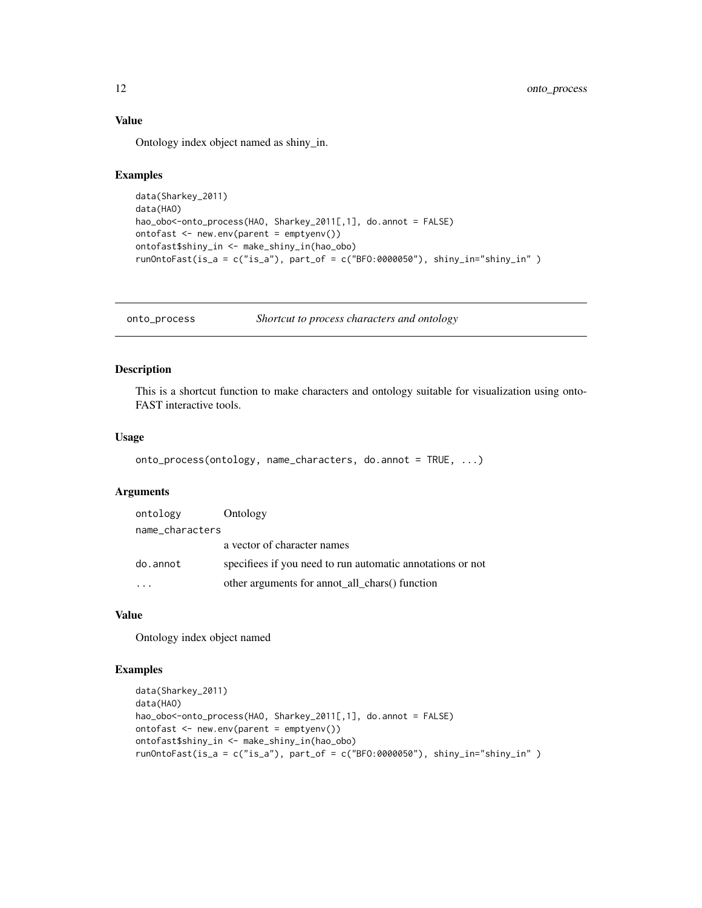Ontology index object named as shiny\_in.

#### Examples

```
data(Sharkey_2011)
data(HAO)
hao_obo<-onto_process(HAO, Sharkey_2011[,1], do.annot = FALSE)
ontofast <- new.env(parent = emptyenv())
ontofast$shiny_in <- make_shiny_in(hao_obo)
runOntoFast(is_a = c("is_a"), part_of = c("BFO:0000050"), shiny_in="shiny_in" )
```
onto\_process *Shortcut to process characters and ontology*

#### Description

This is a shortcut function to make characters and ontology suitable for visualization using onto-FAST interactive tools.

#### Usage

```
onto_process(ontology, name_characters, do.annot = TRUE, ...)
```
## Arguments

| ontology        | Ontology                                                   |
|-----------------|------------------------------------------------------------|
| name_characters |                                                            |
|                 | a vector of character names                                |
| do.annot        | specifiees if you need to run automatic annotations or not |
|                 | other arguments for annot all chars() function             |

### Value

Ontology index object named

```
data(Sharkey_2011)
data(HAO)
hao_obo<-onto_process(HAO, Sharkey_2011[,1], do.annot = FALSE)
ontofast <- new.env(parent = emptyenv())
ontofast$shiny_in <- make_shiny_in(hao_obo)
runOntoFast(is_a = c("is_a"), part_of = c("BFO:0000050"), shiny_in="shiny_in" )
```
<span id="page-11-0"></span>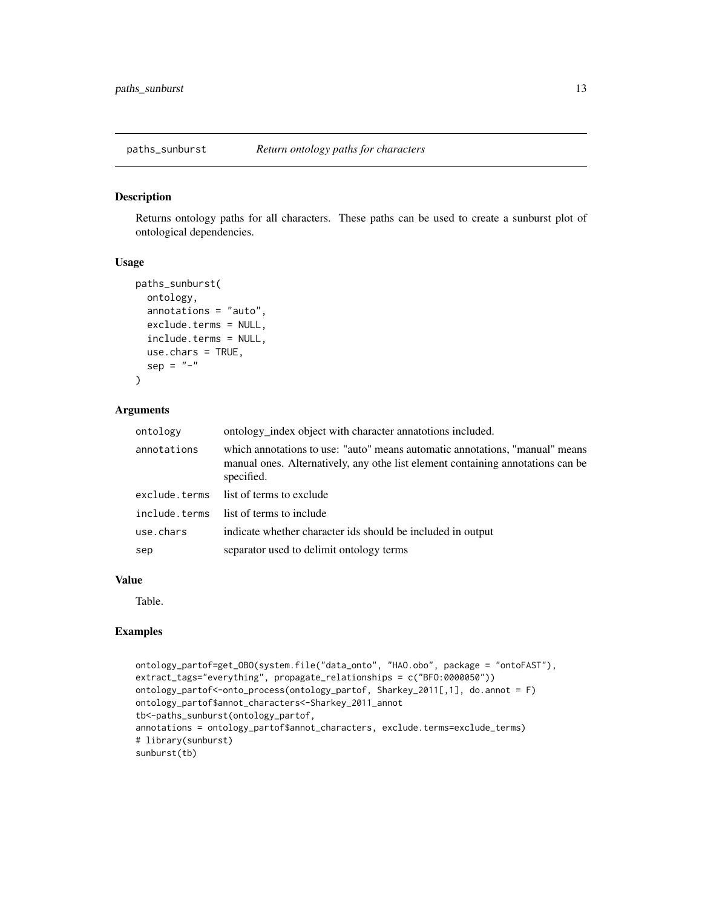<span id="page-12-0"></span>

Returns ontology paths for all characters. These paths can be used to create a sunburst plot of ontological dependencies.

#### Usage

```
paths_sunburst(
  ontology,
  annotations = "auto",
  exclude.terms = NULL,
  include.terms = NULL,
  use.chars = TRUE,
  sep = "-")
```
## Arguments

| ontology      | ontology_index object with character annatotions included.                                                                                                                    |
|---------------|-------------------------------------------------------------------------------------------------------------------------------------------------------------------------------|
| annotations   | which annotations to use: "auto" means automatic annotations, "manual" means<br>manual ones. Alternatively, any othe list element containing annotations can be<br>specified. |
| exclude.terms | list of terms to exclude                                                                                                                                                      |
| include.terms | list of terms to include                                                                                                                                                      |
| use.chars     | indicate whether character ids should be included in output                                                                                                                   |
| sep           | separator used to delimit ontology terms                                                                                                                                      |

## Value

Table.

```
ontology_partof=get_OBO(system.file("data_onto", "HAO.obo", package = "ontoFAST"),
extract_tags="everything", propagate_relationships = c("BFO:0000050"))
ontology_partof<-onto_process(ontology_partof, Sharkey_2011[,1], do.annot = F)
ontology_partof$annot_characters<-Sharkey_2011_annot
tb<-paths_sunburst(ontology_partof,
annotations = ontology_partof$annot_characters, exclude.terms=exclude_terms)
# library(sunburst)
sunburst(tb)
```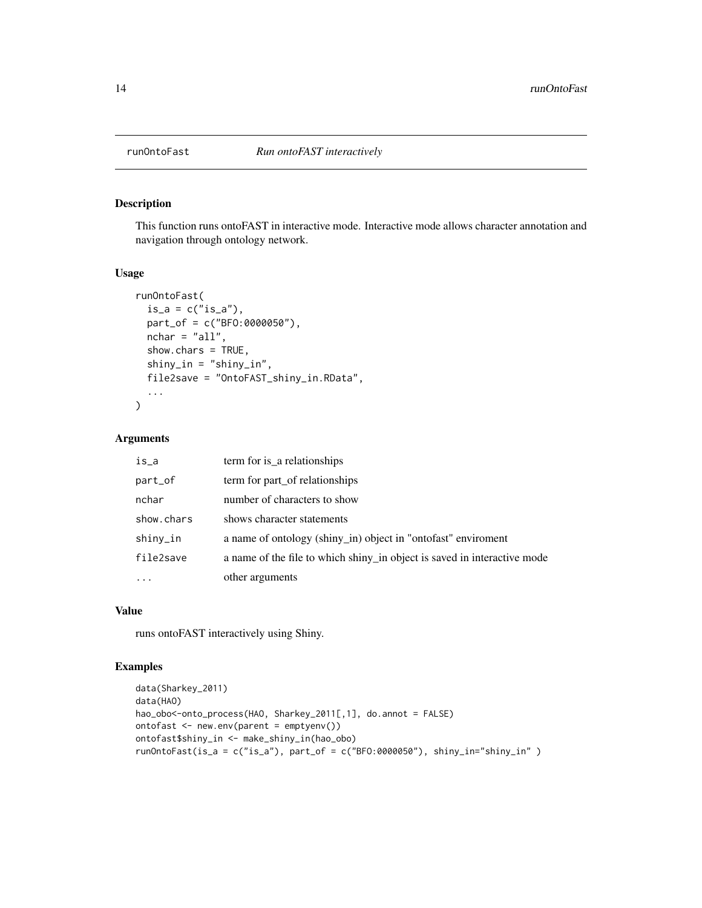<span id="page-13-0"></span>

This function runs ontoFAST in interactive mode. Interactive mode allows character annotation and navigation through ontology network.

## Usage

```
runOntoFast(
  is_a = c("is_a"),part_of = c("BFO:0000050"),
 nchar = "all",show.chars = TRUE,
 shiny_in = "shiny_in",
 file2save = "OntoFAST_shiny_in.RData",
  ...
)
```
#### Arguments

| is_a       | term for is_a relationships                                              |
|------------|--------------------------------------------------------------------------|
| part_of    | term for part_of relationships                                           |
| nchar      | number of characters to show                                             |
| show.chars | shows character statements                                               |
| shiny_in   | a name of ontology (shiny_in) object in "ontofast" enviroment            |
| file2save  | a name of the file to which shiny in object is saved in interactive mode |
| .          | other arguments                                                          |

#### Value

runs ontoFAST interactively using Shiny.

```
data(Sharkey_2011)
data(HAO)
hao_obo<-onto_process(HAO, Sharkey_2011[,1], do.annot = FALSE)
ontofast <- new.env(parent = emptyenv())
ontofast$shiny_in <- make_shiny_in(hao_obo)
runOntoFast(is_a = c("is_a"), part_of = c("BFO:0000050"), shiny_in="shiny_in" )
```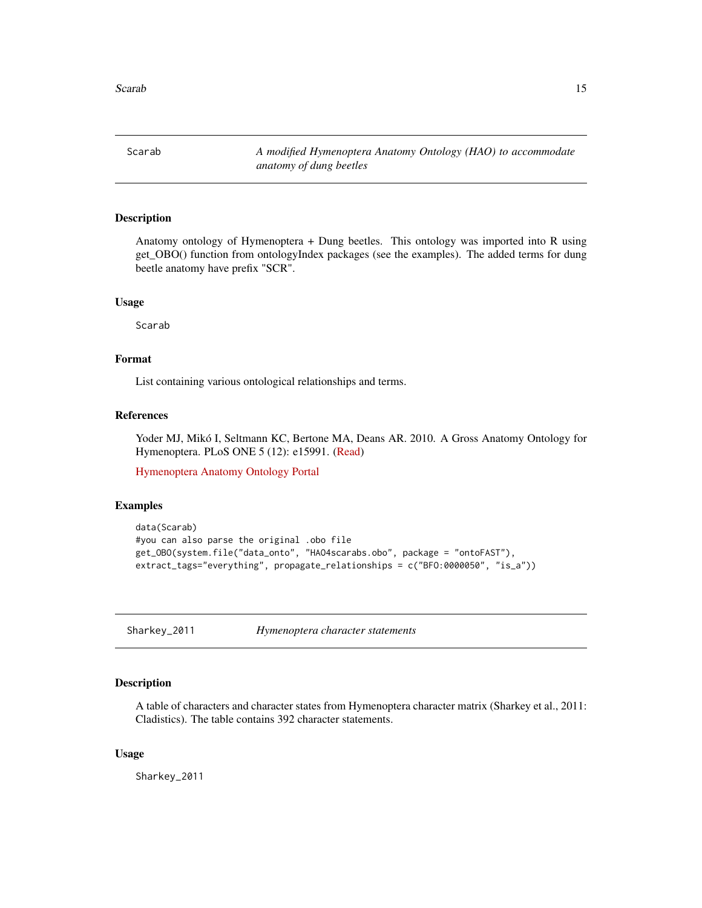<span id="page-14-0"></span>Scarab *A modified Hymenoptera Anatomy Ontology (HAO) to accommodate anatomy of dung beetles*

#### Description

Anatomy ontology of Hymenoptera + Dung beetles. This ontology was imported into R using get\_OBO() function from ontologyIndex packages (see the examples). The added terms for dung beetle anatomy have prefix "SCR".

#### Usage

Scarab

## Format

List containing various ontological relationships and terms.

## References

Yoder MJ, Mikó I, Seltmann KC, Bertone MA, Deans AR. 2010. A Gross Anatomy Ontology for Hymenoptera. PLoS ONE 5 (12): e15991. [\(Read\)](https://journals.plos.org/plosone/article?id=10.1371/journal.pone.0015991)

[Hymenoptera Anatomy Ontology Portal](http://portal.hymao.org/projects/32/public/ontology/)

#### Examples

```
data(Scarab)
#you can also parse the original .obo file
get_OBO(system.file("data_onto", "HAO4scarabs.obo", package = "ontoFAST"),
extract_tags="everything", propagate_relationships = c("BFO:0000050", "is_a"))
```
Sharkey\_2011 *Hymenoptera character statements*

#### Description

A table of characters and character states from Hymenoptera character matrix (Sharkey et al., 2011: Cladistics). The table contains 392 character statements.

#### Usage

Sharkey\_2011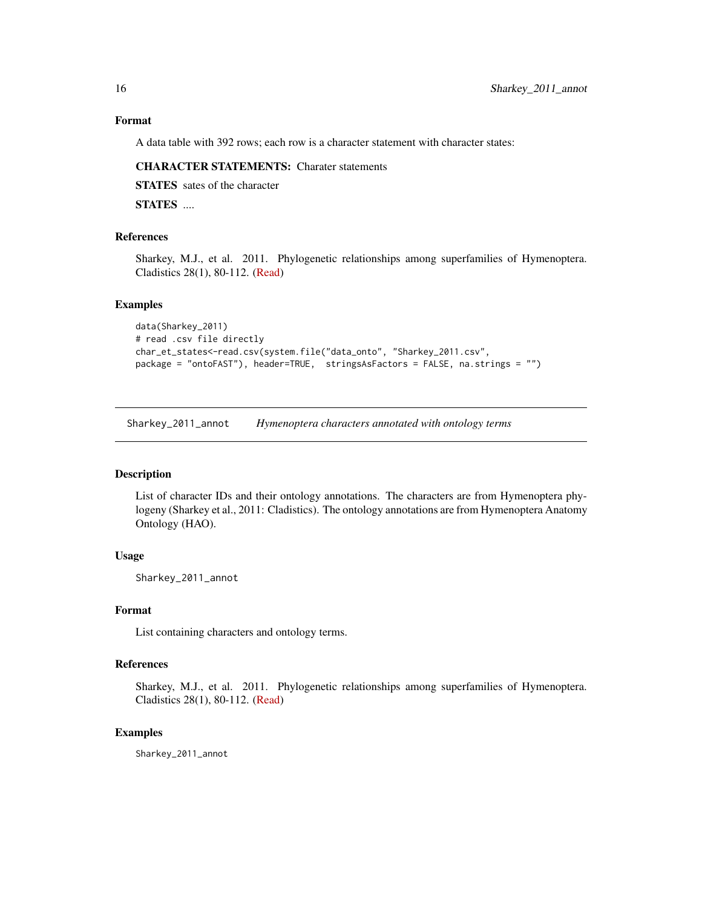## Format

A data table with 392 rows; each row is a character statement with character states:

#### CHARACTER STATEMENTS: Charater statements

STATES sates of the character

STATES ....

## References

Sharkey, M.J., et al. 2011. Phylogenetic relationships among superfamilies of Hymenoptera. Cladistics 28(1), 80-112. [\(Read\)](https://onlinelibrary.wiley.com/doi/full/10.1111/j.1096-0031.2011.00366.x)

#### Examples

```
data(Sharkey_2011)
# read .csv file directly
char_et_states<-read.csv(system.file("data_onto", "Sharkey_2011.csv",
package = "ontoFAST"), header=TRUE, stringsAsFactors = FALSE, na.strings = "")
```
Sharkey\_2011\_annot *Hymenoptera characters annotated with ontology terms*

#### Description

List of character IDs and their ontology annotations. The characters are from Hymenoptera phylogeny (Sharkey et al., 2011: Cladistics). The ontology annotations are from Hymenoptera Anatomy Ontology (HAO).

#### Usage

Sharkey\_2011\_annot

#### Format

List containing characters and ontology terms.

## References

Sharkey, M.J., et al. 2011. Phylogenetic relationships among superfamilies of Hymenoptera. Cladistics 28(1), 80-112. [\(Read\)](https://onlinelibrary.wiley.com/doi/full/10.1111/j.1096-0031.2011.00366.x)

#### Examples

Sharkey\_2011\_annot

<span id="page-15-0"></span>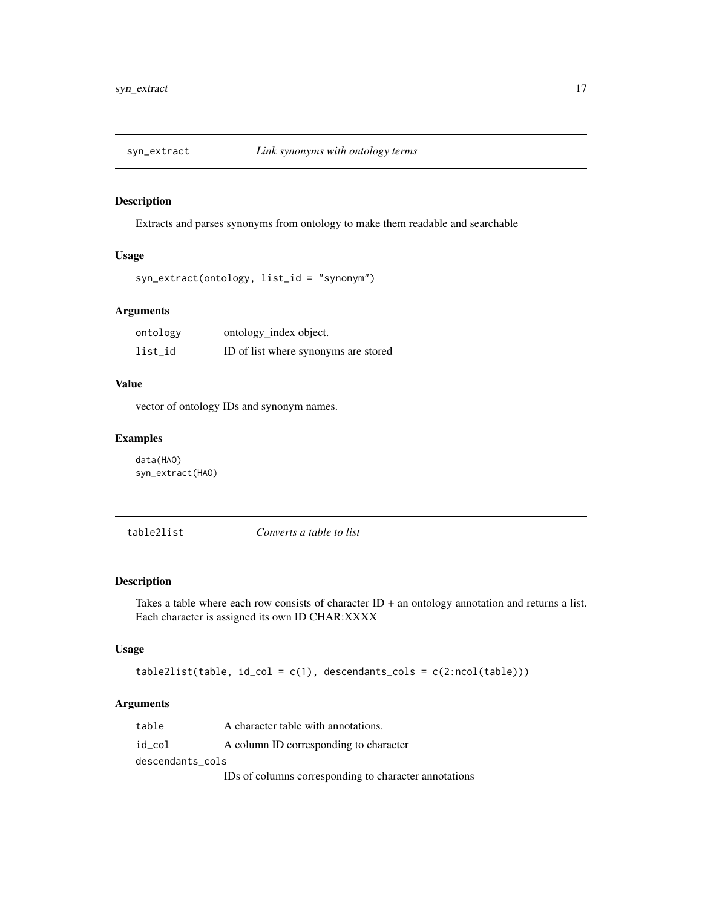<span id="page-16-0"></span>

Extracts and parses synonyms from ontology to make them readable and searchable

## Usage

```
syn_extract(ontology, list_id = "synonym")
```
## Arguments

| ontology | ontology_index object.               |
|----------|--------------------------------------|
| list_id  | ID of list where synonyms are stored |

## Value

vector of ontology IDs and synonym names.

## Examples

data(HAO) syn\_extract(HAO)

table2list *Converts a table to list*

#### Description

Takes a table where each row consists of character ID + an ontology annotation and returns a list. Each character is assigned its own ID CHAR:XXXX

## Usage

 $table2list(table, id_col = c(1), descendants_cols = c(2:ncol(table)))$ 

## Arguments

| table            | A character table with annotations.                   |  |
|------------------|-------------------------------------------------------|--|
| id col           | A column ID corresponding to character                |  |
| descendants cols |                                                       |  |
|                  | IDs of columns corresponding to character annotations |  |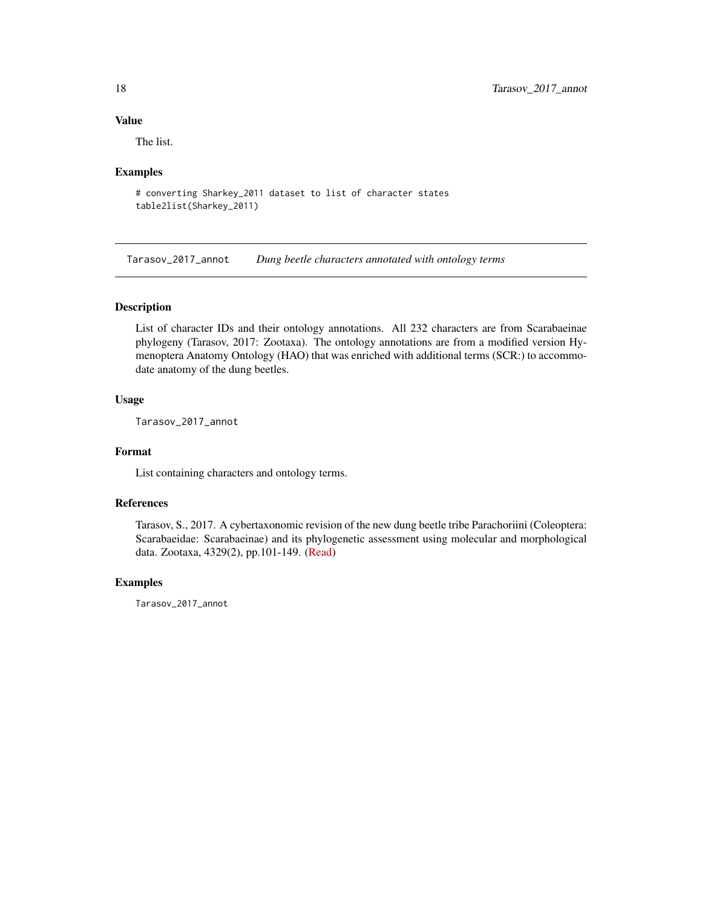<span id="page-17-0"></span>The list.

#### Examples

```
# converting Sharkey_2011 dataset to list of character states
table2list(Sharkey_2011)
```
Tarasov\_2017\_annot *Dung beetle characters annotated with ontology terms*

#### Description

List of character IDs and their ontology annotations. All 232 characters are from Scarabaeinae phylogeny (Tarasov, 2017: Zootaxa). The ontology annotations are from a modified version Hymenoptera Anatomy Ontology (HAO) that was enriched with additional terms (SCR:) to accommodate anatomy of the dung beetles.

#### Usage

Tarasov\_2017\_annot

#### Format

List containing characters and ontology terms.

## References

Tarasov, S., 2017. A cybertaxonomic revision of the new dung beetle tribe Parachoriini (Coleoptera: Scarabaeidae: Scarabaeinae) and its phylogenetic assessment using molecular and morphological data. Zootaxa, 4329(2), pp.101-149. [\(Read\)](https://www.mapress.com/j/zt/article/view/zootaxa.4329.2.1)

#### Examples

Tarasov\_2017\_annot